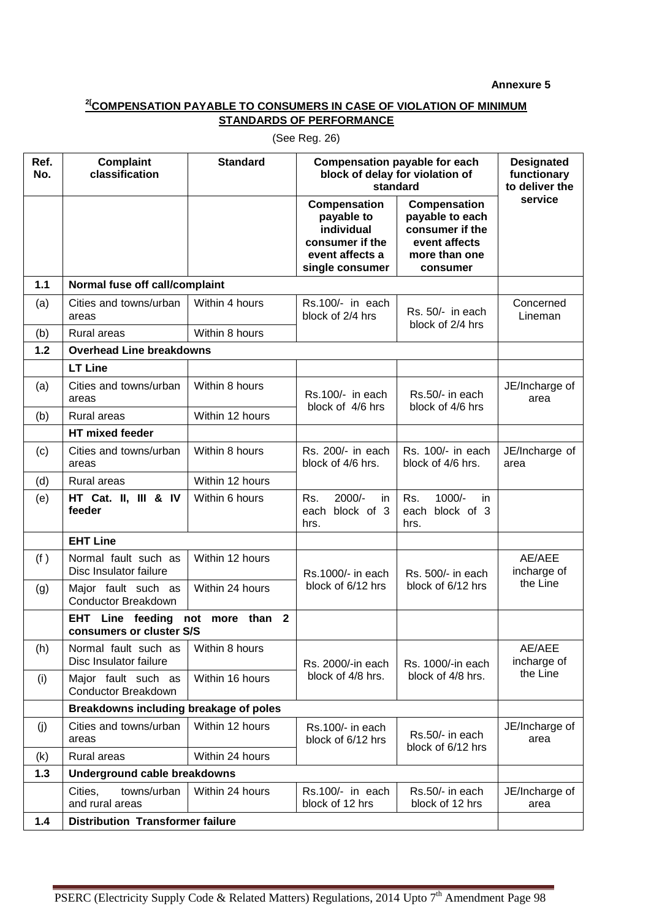**Annexure 5** 

## **2[COMPENSATION PAYABLE TO CONSUMERS IN CASE OF VIOLATION OF MINIMUM STANDARDS OF PERFORMANCE**

| Ref.<br>No. | <b>Complaint</b><br>classification                  | <b>Standard</b>    | <b>Compensation payable for each</b><br>block of delay for violation of<br>standard               |                                                                                                  | <b>Designated</b><br>functionary<br>to deliver the |  |
|-------------|-----------------------------------------------------|--------------------|---------------------------------------------------------------------------------------------------|--------------------------------------------------------------------------------------------------|----------------------------------------------------|--|
|             |                                                     |                    | Compensation<br>payable to<br>individual<br>consumer if the<br>event affects a<br>single consumer | Compensation<br>payable to each<br>consumer if the<br>event affects<br>more than one<br>consumer | service                                            |  |
| $1.1$       | Normal fuse off call/complaint                      |                    |                                                                                                   |                                                                                                  |                                                    |  |
| (a)         | Cities and towns/urban<br>areas                     | Within 4 hours     | Rs.100/- in each<br>block of 2/4 hrs                                                              | Rs. 50/- in each<br>block of 2/4 hrs                                                             | Concerned<br>Lineman                               |  |
| (b)         | <b>Rural areas</b>                                  | Within 8 hours     |                                                                                                   |                                                                                                  |                                                    |  |
| 1.2         | <b>Overhead Line breakdowns</b>                     |                    |                                                                                                   |                                                                                                  |                                                    |  |
|             | <b>LT Line</b>                                      |                    |                                                                                                   |                                                                                                  |                                                    |  |
| (a)         | Cities and towns/urban<br>areas                     | Within 8 hours     | Rs.100/- in each<br>block of 4/6 hrs                                                              | Rs.50/- in each<br>block of 4/6 hrs                                                              | JE/Incharge of<br>area                             |  |
| (b)         | Rural areas                                         | Within 12 hours    |                                                                                                   |                                                                                                  |                                                    |  |
|             | <b>HT</b> mixed feeder                              |                    |                                                                                                   |                                                                                                  |                                                    |  |
| (c)         | Cities and towns/urban<br>areas                     | Within 8 hours     | Rs. 200/- in each<br>block of 4/6 hrs.                                                            | Rs. 100/- in each<br>block of 4/6 hrs.                                                           | JE/Incharge of<br>area                             |  |
| (d)         | Rural areas                                         | Within 12 hours    |                                                                                                   |                                                                                                  |                                                    |  |
| (e)         | HT Cat. II, III & IV<br>feeder                      | Within 6 hours     | 2000/-<br>Rs.<br>in.<br>block of 3<br>each<br>hrs.                                                | $1000/-$<br>Rs.<br>in.<br>block of 3<br>each<br>hrs.                                             |                                                    |  |
|             | <b>EHT Line</b>                                     |                    |                                                                                                   |                                                                                                  |                                                    |  |
| (f)         | Normal fault such as<br>Disc Insulator failure      | Within 12 hours    | Rs.1000/- in each<br>block of 6/12 hrs                                                            | Rs. 500/- in each<br>block of 6/12 hrs                                                           | AE/AEE<br>incharge of                              |  |
| (g)         | Major fault such as<br><b>Conductor Breakdown</b>   | Within 24 hours    |                                                                                                   |                                                                                                  | the Line                                           |  |
|             | <b>EHT</b> Line feeding<br>consumers or cluster S/S | more than 2<br>not |                                                                                                   |                                                                                                  |                                                    |  |
| (h)         | Normal fault such as<br>Disc Insulator failure      | Within 8 hours     | Rs. 2000/-in each<br>block of 4/8 hrs.                                                            | Rs. 1000/-in each<br>block of 4/8 hrs.                                                           | AE/AEE<br>incharge of                              |  |
| (i)         | Major fault such as<br><b>Conductor Breakdown</b>   | Within 16 hours    |                                                                                                   |                                                                                                  | the Line                                           |  |
|             | Breakdowns including breakage of poles              |                    |                                                                                                   |                                                                                                  |                                                    |  |
| (j)         | Cities and towns/urban<br>areas                     | Within 12 hours    | Rs.100/- in each<br>block of 6/12 hrs                                                             | Rs.50/- in each<br>block of 6/12 hrs                                                             | JE/Incharge of<br>area                             |  |
| (k)         | Rural areas                                         | Within 24 hours    |                                                                                                   |                                                                                                  |                                                    |  |
| 1.3         | Underground cable breakdowns                        |                    |                                                                                                   |                                                                                                  |                                                    |  |
|             | towns/urban<br>Cities,<br>and rural areas           | Within 24 hours    | Rs.100/- in each<br>block of 12 hrs                                                               | Rs.50/- in each<br>block of 12 hrs                                                               | JE/Incharge of<br>area                             |  |
| 1.4         | <b>Distribution Transformer failure</b>             |                    |                                                                                                   |                                                                                                  |                                                    |  |

(See Reg. 26)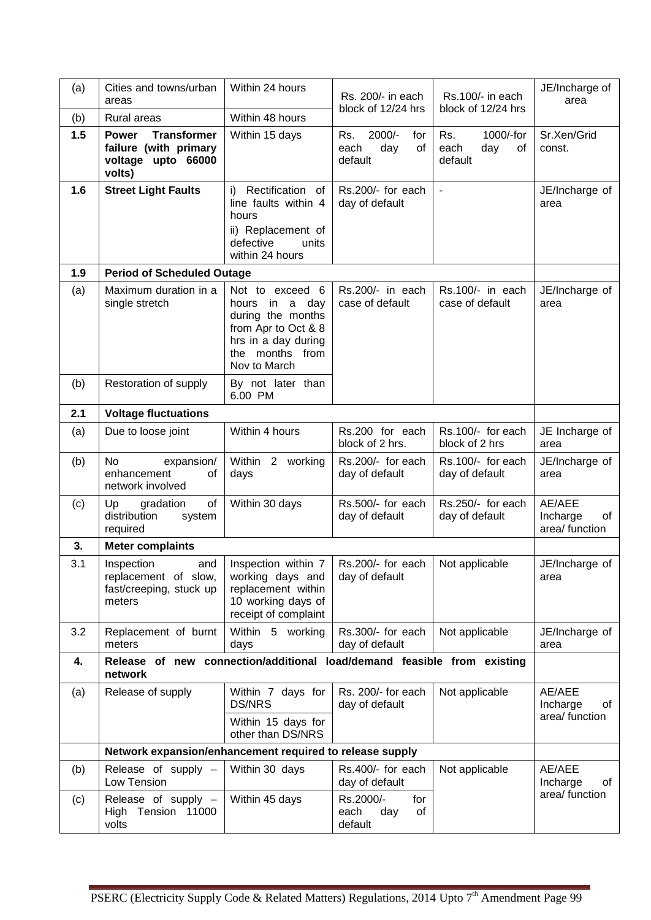| (a) | Cities and towns/urban<br>areas                                                             | Within 24 hours                                                                                                                            | Rs. 200/- in each<br>block of 12/24 hrs                | Rs.100/- in each<br>block of 12/24 hrs           | JE/Incharge of<br>area                     |  |  |
|-----|---------------------------------------------------------------------------------------------|--------------------------------------------------------------------------------------------------------------------------------------------|--------------------------------------------------------|--------------------------------------------------|--------------------------------------------|--|--|
| (b) | Rural areas                                                                                 | Within 48 hours                                                                                                                            |                                                        |                                                  |                                            |  |  |
| 1.5 | <b>Transformer</b><br><b>Power</b><br>failure (with primary<br>voltage upto 66000<br>volts) | Within 15 days                                                                                                                             | $2000/-$<br>Rs.<br>for<br>day<br>of<br>each<br>default | Rs.<br>1000/-for<br>each<br>day<br>of<br>default | Sr.Xen/Grid<br>const.                      |  |  |
| 1.6 | <b>Street Light Faults</b>                                                                  | i) Rectification of<br>line faults within 4<br>hours<br>ii) Replacement of<br>defective<br>units<br>within 24 hours                        | Rs.200/- for each<br>day of default                    | $\blacksquare$                                   | JE/Incharge of<br>area                     |  |  |
| 1.9 | <b>Period of Scheduled Outage</b>                                                           |                                                                                                                                            |                                                        |                                                  |                                            |  |  |
| (a) | Maximum duration in a<br>single stretch                                                     | Not to exceed 6<br>hours<br>in a day<br>during the months<br>from Apr to Oct & 8<br>hrs in a day during<br>the months from<br>Nov to March | Rs.200/- in each<br>case of default                    | Rs.100/- in each<br>case of default              | JE/Incharge of<br>area                     |  |  |
| (b) | Restoration of supply                                                                       | By not later than<br>6.00 PM                                                                                                               |                                                        |                                                  |                                            |  |  |
| 2.1 | <b>Voltage fluctuations</b>                                                                 |                                                                                                                                            |                                                        |                                                  |                                            |  |  |
| (a) | Due to loose joint                                                                          | Within 4 hours                                                                                                                             | Rs.200 for each<br>block of 2 hrs.                     | Rs.100/- for each<br>block of 2 hrs              | JE Incharge of<br>area                     |  |  |
| (b) | <b>No</b><br>expansion/<br>enhancement<br>οf<br>network involved                            | Within 2 working<br>days                                                                                                                   | Rs.200/- for each<br>day of default                    | Rs.100/- for each<br>day of default              | JE/Incharge of<br>area                     |  |  |
| (c) | of<br>Up<br>gradation<br>distribution<br>system<br>required                                 | Within 30 days                                                                                                                             | Rs.500/- for each<br>day of default                    | Rs.250/- for each<br>day of default              | AE/AEE<br>Incharge<br>οf<br>area/ function |  |  |
| 3.  | <b>Meter complaints</b>                                                                     |                                                                                                                                            |                                                        |                                                  |                                            |  |  |
| 3.1 | Inspection<br>and<br>replacement of slow,<br>fast/creeping, stuck up<br>meters              | Inspection within $7 \mid$ Rs.200/- for each<br>working days and<br>replacement within<br>10 working days of<br>receipt of complaint       | day of default                                         | Not applicable                                   | JE/Incharge of<br>area                     |  |  |
| 3.2 | Replacement of burnt<br>meters                                                              | Within 5 working<br>days                                                                                                                   | Rs.300/- for each<br>day of default                    | Not applicable                                   | JE/Incharge of<br>area                     |  |  |
| 4.  | Release of new connection/additional load/demand feasible from existing<br>network          |                                                                                                                                            |                                                        |                                                  |                                            |  |  |
| (a) | Release of supply                                                                           | Within 7 days for<br><b>DS/NRS</b><br>Within 15 days for                                                                                   | Rs. 200/- for each<br>day of default                   | Not applicable                                   | AE/AEE<br>Incharge<br>οf<br>area/ function |  |  |
|     |                                                                                             | other than DS/NRS                                                                                                                          |                                                        |                                                  |                                            |  |  |
|     | Network expansion/enhancement required to release supply                                    |                                                                                                                                            |                                                        |                                                  |                                            |  |  |
| (b) | Release of supply -<br>Low Tension                                                          | Within 30 days                                                                                                                             | Rs.400/- for each<br>day of default                    | Not applicable                                   | AE/AEE<br>Incharge<br>οf                   |  |  |
| (c) | Release of supply -<br>High Tension 11000<br>volts                                          | Within 45 days                                                                                                                             | Rs.2000/-<br>for<br>of<br>each<br>day<br>default       |                                                  | area/ function                             |  |  |